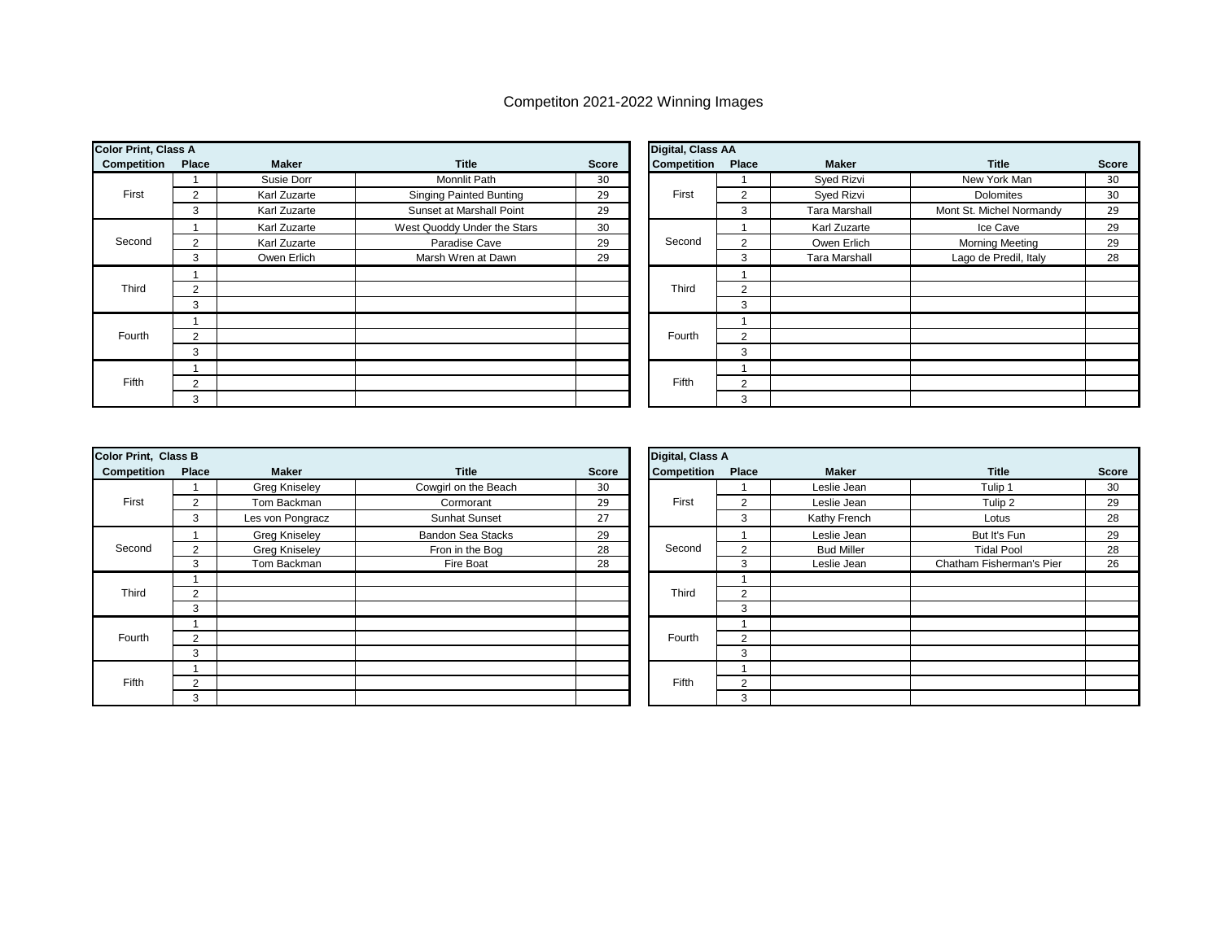## Competiton 2021-2022 Winning Images

| <b>Color Print, Class A</b> |                |              |                                |       | Digital, Class AA |               |                      |                          |              |  |
|-----------------------------|----------------|--------------|--------------------------------|-------|-------------------|---------------|----------------------|--------------------------|--------------|--|
| Competition                 | Place          | <b>Maker</b> | <b>Title</b>                   | Score | Competition       | Place         | Maker                | <b>Title</b>             | <b>Score</b> |  |
|                             |                | Susie Dorr   | <b>Monnlit Path</b>            | 30    |                   |               | Syed Rizvi           | New York Man             | 30           |  |
| First                       | $\overline{2}$ | Karl Zuzarte | <b>Singing Painted Bunting</b> | 29    | First             | 2             | Syed Rizvi           | <b>Dolomites</b>         | 30           |  |
|                             | 3              | Karl Zuzarte | Sunset at Marshall Point       | 29    |                   | 3             | <b>Tara Marshall</b> | Mont St. Michel Normandy | 29           |  |
|                             |                | Karl Zuzarte | West Quoddy Under the Stars    | 30    | Second            |               | Karl Zuzarte         | Ice Cave                 | 29           |  |
| Second                      | $\overline{2}$ | Karl Zuzarte | Paradise Cave                  | 29    |                   | 2             | Owen Erlich          | <b>Morning Meeting</b>   | 29           |  |
|                             | 3              | Owen Erlich  | Marsh Wren at Dawn             | 29    |                   | 3             | <b>Tara Marshall</b> | Lago de Predil, Italy    | 28           |  |
|                             |                |              |                                |       |                   |               |                      |                          |              |  |
| Third                       | 2              |              |                                |       | Third             | 2             |                      |                          |              |  |
|                             | 3              |              |                                |       |                   | 3             |                      |                          |              |  |
|                             |                |              |                                |       |                   |               |                      |                          |              |  |
| Fourth                      | 2              |              |                                |       | Fourth            | $\Omega$      |                      |                          |              |  |
|                             | 3              |              |                                |       |                   | 3             |                      |                          |              |  |
|                             |                |              |                                |       |                   |               |                      |                          |              |  |
| Fifth                       | $\overline{2}$ |              |                                |       | Fifth             | $\mathcal{P}$ |                      |                          |              |  |
|                             | 3              |              |                                |       |                   | 3             |                      |                          |              |  |

| <b>Color Print, Class B</b> |                |                      |                          |              | Digital, Class A |                |                   |                          |              |
|-----------------------------|----------------|----------------------|--------------------------|--------------|------------------|----------------|-------------------|--------------------------|--------------|
| Competition                 | Place          | <b>Maker</b>         | <b>Title</b>             | <b>Score</b> | Competition      | Place          | Maker             | <b>Title</b>             | <b>Score</b> |
|                             |                | <b>Greg Kniseley</b> | Cowgirl on the Beach     | 30           |                  |                | Leslie Jean       | Tulip 1                  | 30           |
| First                       | 2              | Tom Backman          | Cormorant                | 29           | First            | $\overline{2}$ | Leslie Jean       | Tulip 2                  | 29           |
|                             | 3              | Les von Pongracz     | Sunhat Sunset            | 27           |                  | 3              | Kathy French      | Lotus                    | 28           |
|                             |                | <b>Greg Kniseley</b> | <b>Bandon Sea Stacks</b> | 29           |                  |                | Leslie Jean       | But It's Fun             | 29           |
| Second                      | 2              | <b>Greg Kniseley</b> | Fron in the Bog          | 28           | Second           | ◠              | <b>Bud Miller</b> | <b>Tidal Pool</b>        | 28           |
|                             | 3              | Tom Backman          | Fire Boat                | 28           |                  | 3              | Leslie Jean       | Chatham Fisherman's Pier | 26           |
|                             |                |                      |                          |              |                  |                |                   |                          |              |
| Third                       | $\overline{2}$ |                      |                          |              | Third            | 2              |                   |                          |              |
|                             | 3              |                      |                          |              |                  | 3              |                   |                          |              |
|                             |                |                      |                          |              |                  |                |                   |                          |              |
| Fourth                      | $\overline{2}$ |                      |                          |              | Fourth           | $\overline{2}$ |                   |                          |              |
|                             | 3              |                      |                          |              |                  | 3              |                   |                          |              |
|                             |                |                      |                          |              |                  |                |                   |                          |              |
| Fifth                       | 2              |                      |                          |              | Fifth            | $\overline{2}$ |                   |                          |              |
|                             | 3              |                      |                          |              |                  | 3              |                   |                          |              |

| Digital, Class A |                |                   |                          |              |  |  |  |  |
|------------------|----------------|-------------------|--------------------------|--------------|--|--|--|--|
| Competition      | <b>Place</b>   | <b>Maker</b>      | <b>Title</b>             | <b>Score</b> |  |  |  |  |
|                  | 1              | Leslie Jean       | Tulip 1                  | 30           |  |  |  |  |
| First            | 2              | Leslie Jean       | Tulip 2                  | 29           |  |  |  |  |
|                  | 3              | Kathy French      | Lotus                    | 28           |  |  |  |  |
|                  |                | Leslie Jean       | But It's Fun             | 29           |  |  |  |  |
| Second           | $\overline{2}$ | <b>Bud Miller</b> | <b>Tidal Pool</b>        | 28           |  |  |  |  |
|                  | 3              | Leslie Jean       | Chatham Fisherman's Pier | 26           |  |  |  |  |
|                  | 1              |                   |                          |              |  |  |  |  |
| Third            | 2              |                   |                          |              |  |  |  |  |
|                  | 3              |                   |                          |              |  |  |  |  |
|                  |                |                   |                          |              |  |  |  |  |
| Fourth           | $\overline{2}$ |                   |                          |              |  |  |  |  |
|                  | 3              |                   |                          |              |  |  |  |  |
|                  |                |                   |                          |              |  |  |  |  |
| Fifth            | $\overline{2}$ |                   |                          |              |  |  |  |  |
|                  | 3              |                   |                          |              |  |  |  |  |